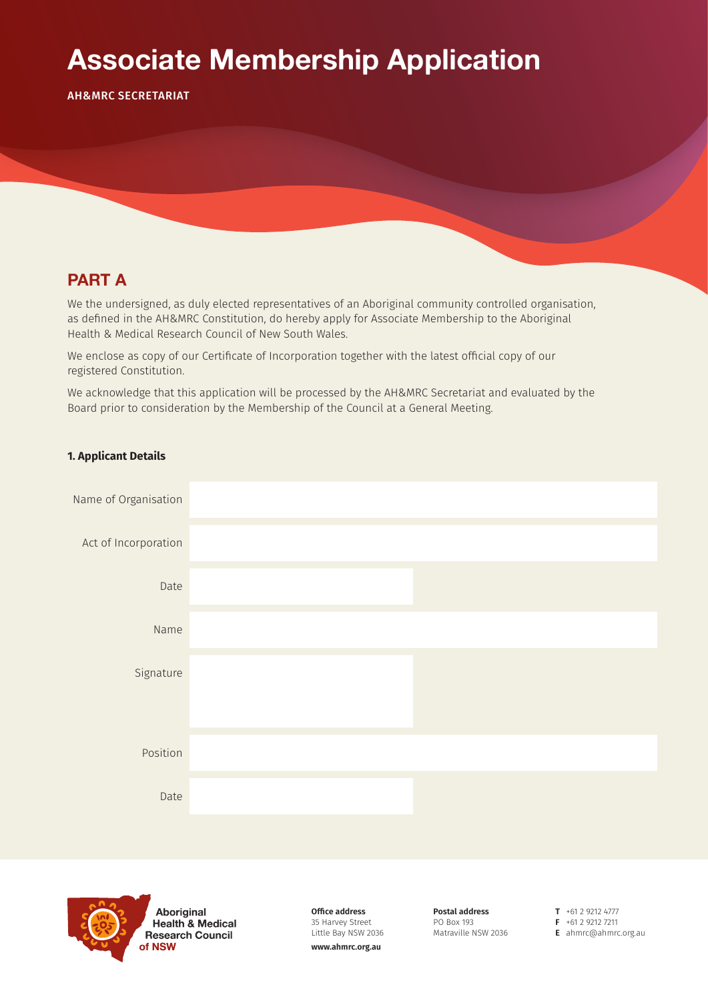# **Associate Membership Application**

AH&MRC SECRETARIAT

### **PART A**

We the undersigned, as duly elected representatives of an Aboriginal community controlled organisation, as defined in the AH&MRC Constitution, do hereby apply for Associate Membership to the Aboriginal Health & Medical Research Council of New South Wales.

We enclose as copy of our Certificate of Incorporation together with the latest official copy of our registered Constitution.

We acknowledge that this application will be processed by the AH&MRC Secretariat and evaluated by the Board prior to consideration by the Membership of the Council at a General Meeting.

### **1. Applicant Details**





**Aboriginal Health & Medical Research Council** of NSW

**Office address** 35 Harvey Street Little Bay NSW 2036 **www.ahmrc.org.au**

**Postal address** PO Box 193 Matraville NSW 2036 **T** +61 2 9212 4777 **F** +61 2 9212 7211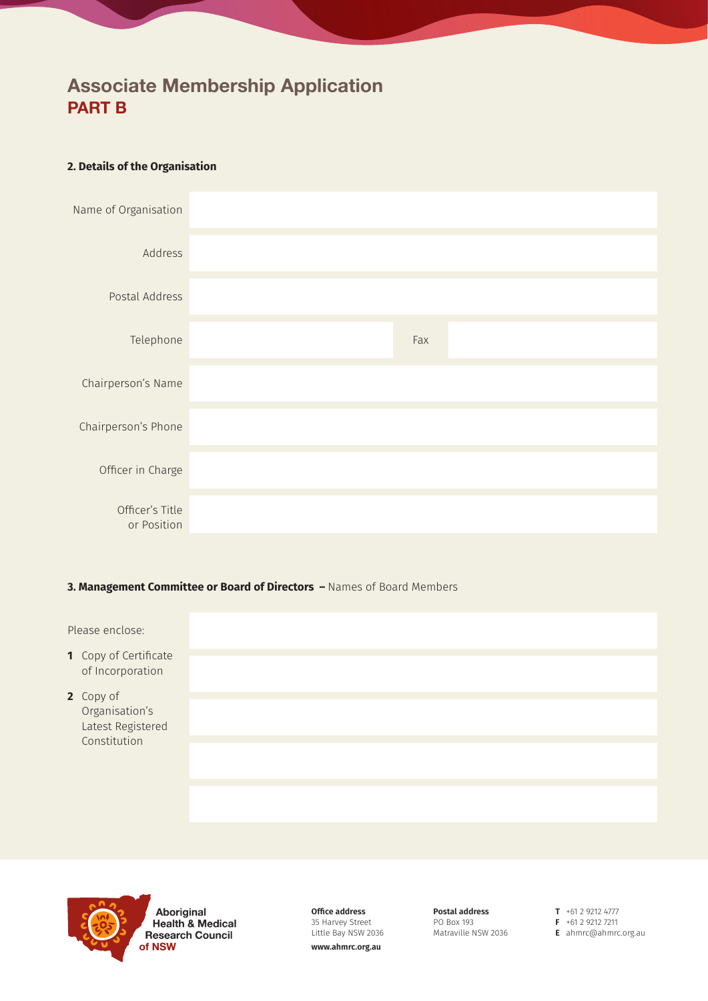## **Associate Membership Application PART B**

### **2. Details of the Organisation**



#### **3. Management Committee or Board of Directors –** Names of Board Members

Please enclose:

- **1** Copy of Certificate of Incorporation
- **2** Copy of Organisation's Latest Registered Constitution



Aboriginal **Health & Medical Research Council** of NSW

**Office address** 35 Harvey Street Little Bay NSW 2036 **www.ahmrc.org.au**

**Postal address** PO Box 193 Matraville NSW 2036 **T** +61 2 9212 4777 **F** +61 2 9212 7211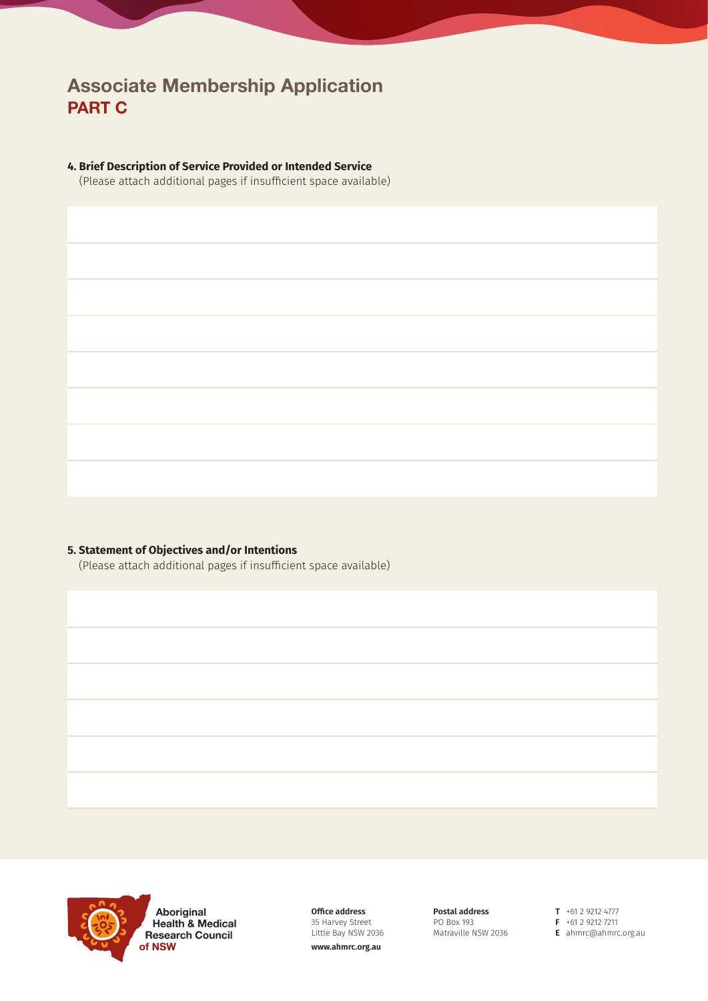### **Associate Membership Application PART C**

#### **4. Brief Description of Service Provided or Intended Service**

(Please attach additional pages if insufficient space available)

### **5. Statement of Objectives and/or Intentions**

(Please attach additional pages if insufficient space available)



Aboriginal **Health & Medical Research Council** of NSW

**Office address** 35 Harvey Street Little Bay NSW 2036

**www.ahmrc.org.au**

**Postal address** PO Box 193 Matraville NSW 2036

**T** +61 2 9212 4777 **F** +61 2 9212 7211